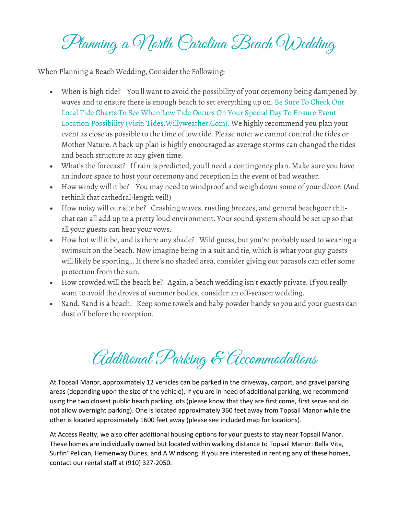Planning a Morth Carolina Beach Wedding

**When Planning a Beach Wedding, Consider the Following:**

- *When is high tide?* You'll want to avoid the possibility of your ceremony being dampened by waves and to ensure there is enough beach to set everything up on. **Be Sure To Check Our Local Tide Charts To See When Low Tide Occurs On Your Special Day To Ensure Event Location Possibility (Visit: Tides.Willyweather.Com).** We highly recommend you plan your event as close as possible to the time of low tide. *Please note: we cannot control the tides or Mother Nature. A back up plan is highly encouraged as average storms can changed the tides and beach structure at any given time.*
- *What's the forecast?* If rain is predicted, you'll need a contingency plan. Make sure you have an indoor space to host your ceremony *and* reception in the event of bad weather.
- *How windy will it be?* You may need to windproof and weigh down some of your décor. *(And rethink that cathedral-length veil!)*
- *How noisy will our site be?* Crashing waves, rustling breezes, and general beachgoer chitchat can all add up to a pretty loud environment. Your sound system should be set up so that all your guests can hear your vows.
- *How hot will it be, and is there any shade?* Wild guess, but you're probably used to wearing a swimsuit on the beach. Now imagine being in a suit and tie, which is what your guy guests will likely be sporting… If there's no shaded area, consider giving out parasols can offer some protection from the sun.
- *How crowded will the beach be?* Again, a beach wedding isn't exactly private. If you really want to avoid the droves of summer bodies, consider an off-season wedding.
- *Sand. Sand is a beach.* Keep some towels and baby powder handy so you and your guests can dust off before the reception.

Additional Parking & Accommodations

At Topsail Manor, approximately 12 vehicles can be parked in the driveway, carport, and gravel parking areas (depending upon the size of the vehicle). If you are in need of additional parking, we recommend using the two closest public beach parking lots (please know that they are first come, first serve and do not allow overnight parking). One is located approximately 360 feet away from Topsail Manor while the other is located approximately 1600 feet away (please see included map for locations).

At Access Realty, we also offer additional housing options for your guests to stay near Topsail Manor. These homes are individually owned but located within walking distance to Topsail Manor: Bella Vita, Surfin' Pelican, Hemenway Dunes, and A Windsong. If you are interested in renting any of these homes, contact our rental staff at (910) 327-2050.